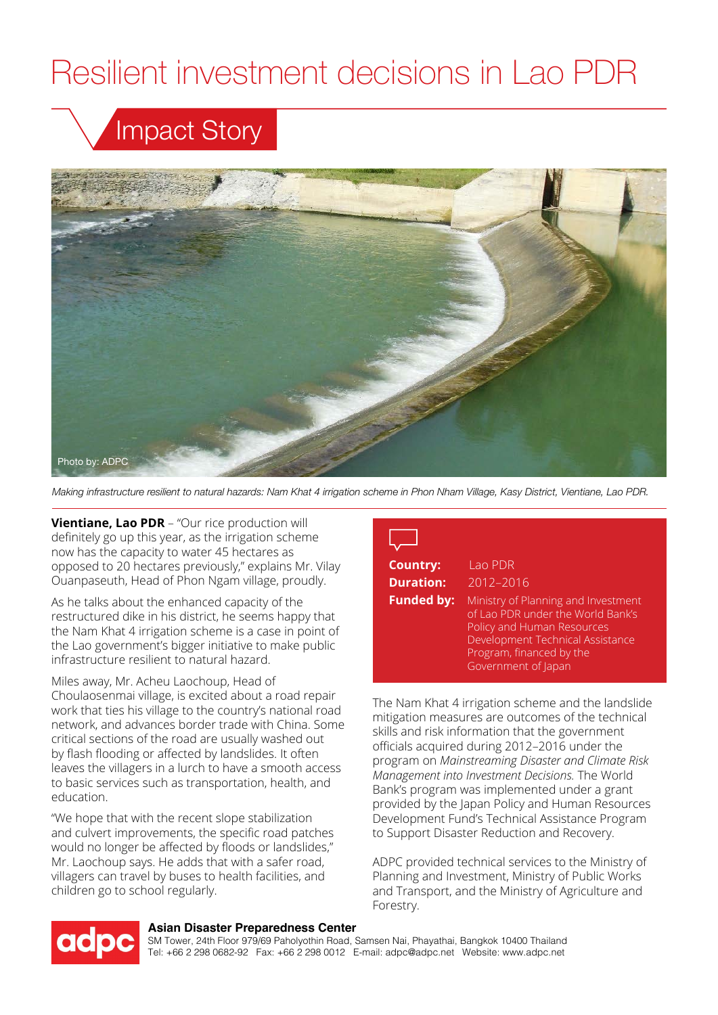# Resilient investment decisions in Lao PDR

## Impact Story



*Making infrastructure resilient to natural hazards: Nam Khat 4 irrigation scheme in Phon Nham Village, Kasy District, Vientiane, Lao PDR.*

**Vientiane, Lao PDR** – "Our rice production will definitely go up this year, as the irrigation scheme now has the capacity to water 45 hectares as opposed to 20 hectares previously," explains Mr. Vilay Ouanpaseuth, Head of Phon Ngam village, proudly.

As he talks about the enhanced capacity of the restructured dike in his district, he seems happy that the Nam Khat 4 irrigation scheme is a case in point of the Lao government's bigger initiative to make public infrastructure resilient to natural hazard.

Miles away, Mr. Acheu Laochoup, Head of Choulaosenmai village, is excited about a road repair work that ties his village to the country's national road network, and advances border trade with China. Some critical sections of the road are usually washed out by flash flooding or affected by landslides. It often leaves the villagers in a lurch to have a smooth access to basic services such as transportation, health, and education.

"We hope that with the recent slope stabilization and culvert improvements, the specific road patches would no longer be affected by floods or landslides," Mr. Laochoup says. He adds that with a safer road, villagers can travel by buses to health facilities, and children go to school regularly.

### **Country:** Lao PDR **Duration:** 2012–2016 **Funded by:** Ministry of Planning and Investment of Lao PDR under the World Bank's Policy and Human Resources Development Technical Assistance Program, financed by the Government of Japan

The Nam Khat 4 irrigation scheme and the landslide mitigation measures are outcomes of the technical skills and risk information that the government officials acquired during 2012–2016 under the program on *Mainstreaming Disaster and Climate Risk Management into Investment Decisions.* The World Bank's program was implemented under a grant provided by the Japan Policy and Human Resources Development Fund's Technical Assistance Program to Support Disaster Reduction and Recovery.

ADPC provided technical services to the Ministry of Planning and Investment, Ministry of Public Works and Transport, and the Ministry of Agriculture and Forestry.



#### **Asian Disaster Preparedness Center**

SM Tower, 24th Floor 979/69 Paholyothin Road, Samsen Nai, Phayathai, Bangkok 10400 Thailand Tel: +66 2 298 0682-92 Fax: +66 2 298 0012 E-mail: adpc@adpc.net Website: www.adpc.net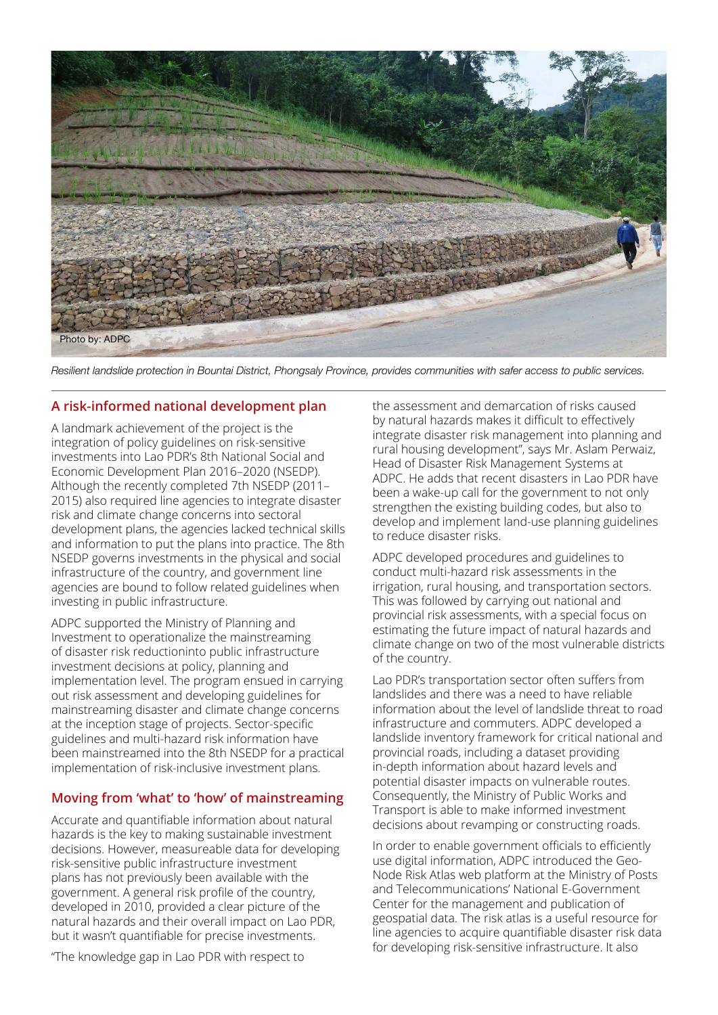

*Resilient landslide protection in Bountai District, Phongsaly Province, provides communities with safer access to public services.*

#### **A risk-informed national development plan**

A landmark achievement of the project is the integration of policy guidelines on risk-sensitive investments into Lao PDR's 8th National Social and Economic Development Plan 2016–2020 (NSEDP). Although the recently completed 7th NSEDP (2011– 2015) also required line agencies to integrate disaster risk and climate change concerns into sectoral development plans, the agencies lacked technical skills and information to put the plans into practice. The 8th NSEDP governs investments in the physical and social infrastructure of the country, and government line agencies are bound to follow related guidelines when investing in public infrastructure.

ADPC supported the Ministry of Planning and Investment to operationalize the mainstreaming of disaster risk reductioninto public infrastructure investment decisions at policy, planning and implementation level. The program ensued in carrying out risk assessment and developing guidelines for mainstreaming disaster and climate change concerns at the inception stage of projects. Sector-specific guidelines and multi-hazard risk information have been mainstreamed into the 8th NSEDP for a practical implementation of risk-inclusive investment plans.

#### **Moving from 'what' to 'how' of mainstreaming**

Accurate and quantifiable information about natural hazards is the key to making sustainable investment decisions. However, measureable data for developing risk-sensitive public infrastructure investment plans has not previously been available with the government. A general risk profile of the country, developed in 2010, provided a clear picture of the natural hazards and their overall impact on Lao PDR, but it wasn't quantifiable for precise investments.

"The knowledge gap in Lao PDR with respect to

the assessment and demarcation of risks caused by natural hazards makes it difficult to effectively integrate disaster risk management into planning and rural housing development", says Mr. Aslam Perwaiz, Head of Disaster Risk Management Systems at ADPC. He adds that recent disasters in Lao PDR have been a wake-up call for the government to not only strengthen the existing building codes, but also to develop and implement land-use planning guidelines to reduce disaster risks.

ADPC developed procedures and guidelines to conduct multi-hazard risk assessments in the irrigation, rural housing, and transportation sectors. This was followed by carrying out national and provincial risk assessments, with a special focus on estimating the future impact of natural hazards and climate change on two of the most vulnerable districts of the country.

Lao PDR's transportation sector often suffers from landslides and there was a need to have reliable information about the level of landslide threat to road infrastructure and commuters. ADPC developed a landslide inventory framework for critical national and provincial roads, including a dataset providing in-depth information about hazard levels and potential disaster impacts on vulnerable routes. Consequently, the Ministry of Public Works and Transport is able to make informed investment decisions about revamping or constructing roads.

In order to enable government officials to efficiently use digital information, ADPC introduced the Geo-Node Risk Atlas web platform at the Ministry of Posts and Telecommunications' National E-Government Center for the management and publication of geospatial data. The risk atlas is a useful resource for line agencies to acquire quantifiable disaster risk data for developing risk-sensitive infrastructure. It also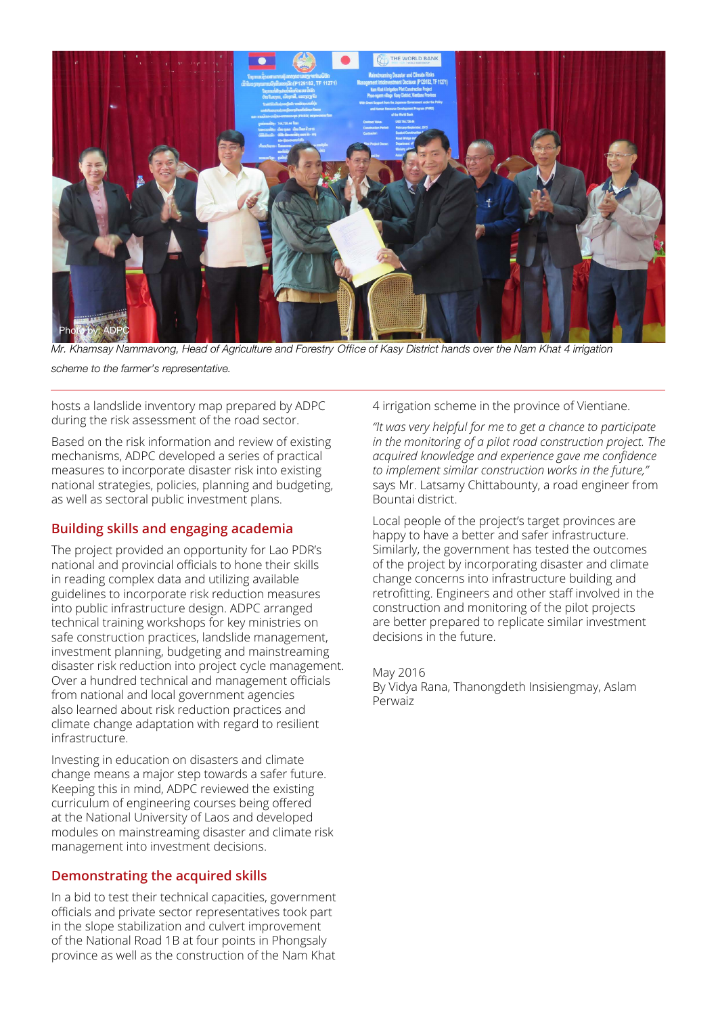

*Mr. Khamsay Nammavong, Head of Agriculture and Forestry* Office *of Kasy District hands over the Nam Khat 4 irrigation scheme to the farmer's representative.*

hosts a landslide inventory map prepared by ADPC during the risk assessment of the road sector.

Based on the risk information and review of existing mechanisms, ADPC developed a series of practical measures to incorporate disaster risk into existing national strategies, policies, planning and budgeting, as well as sectoral public investment plans.

#### **Building skills and engaging academia**

The project provided an opportunity for Lao PDR's national and provincial officials to hone their skills in reading complex data and utilizing available guidelines to incorporate risk reduction measures into public infrastructure design. ADPC arranged technical training workshops for key ministries on safe construction practices, landslide management, investment planning, budgeting and mainstreaming disaster risk reduction into project cycle management. Over a hundred technical and management officials from national and local government agencies also learned about risk reduction practices and climate change adaptation with regard to resilient infrastructure.

Investing in education on disasters and climate change means a major step towards a safer future. Keeping this in mind, ADPC reviewed the existing curriculum of engineering courses being offered at the National University of Laos and developed modules on mainstreaming disaster and climate risk management into investment decisions.

#### **Demonstrating the acquired skills**

In a bid to test their technical capacities, government officials and private sector representatives took part in the slope stabilization and culvert improvement of the National Road 1B at four points in Phongsaly province as well as the construction of the Nam Khat

4 irrigation scheme in the province of Vientiane.

*"It was very helpful for me to get a chance to participate in the monitoring of a pilot road construction project. The acquired knowledge and experience gave me confidence to implement similar construction works in the future,"*  says Mr. Latsamy Chittabounty, a road engineer from Bountai district.

Local people of the project's target provinces are happy to have a better and safer infrastructure. Similarly, the government has tested the outcomes of the project by incorporating disaster and climate change concerns into infrastructure building and retrofitting. Engineers and other staff involved in the construction and monitoring of the pilot projects are better prepared to replicate similar investment decisions in the future.

May 2016

By Vidya Rana, Thanongdeth Insisiengmay, Aslam Perwaiz